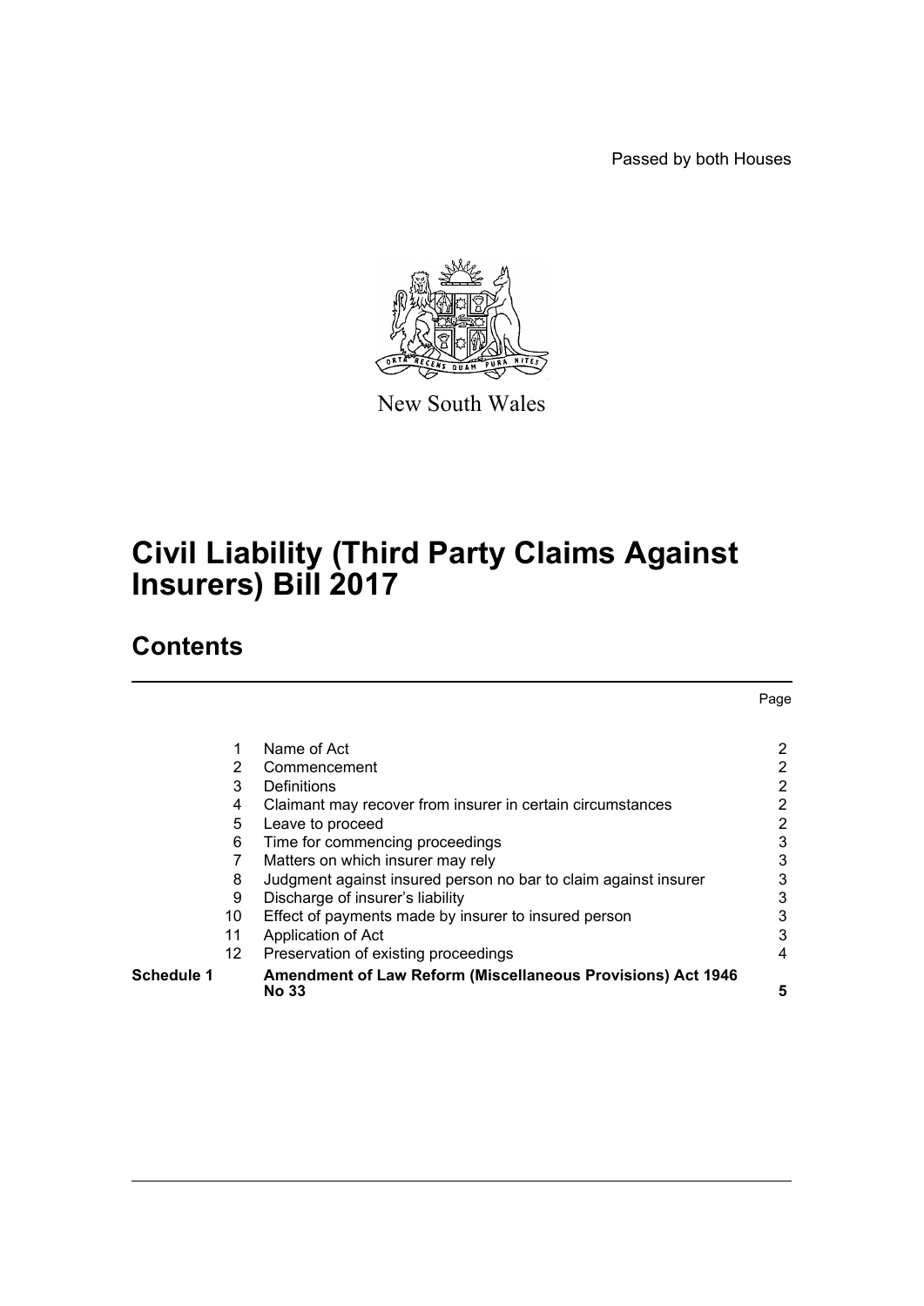Passed by both Houses



New South Wales

# **Civil Liability (Third Party Claims Against Insurers) Bill 2017**

# **Contents**

|            |                 |                                                                             | Page           |
|------------|-----------------|-----------------------------------------------------------------------------|----------------|
|            |                 |                                                                             |                |
|            | 1               | Name of Act                                                                 | 2              |
|            | 2               | Commencement                                                                | 2              |
|            | 3               | Definitions                                                                 | 2              |
|            | 4               | Claimant may recover from insurer in certain circumstances                  | 2              |
|            | 5               | Leave to proceed                                                            | $\overline{2}$ |
|            | 6               | Time for commencing proceedings                                             | 3              |
|            |                 | Matters on which insurer may rely                                           | 3              |
|            | 8               | Judgment against insured person no bar to claim against insurer             | 3              |
|            | 9               | Discharge of insurer's liability                                            | 3              |
|            | 10              | Effect of payments made by insurer to insured person                        | 3              |
|            | 11              | Application of Act                                                          | 3              |
|            | 12 <sup>2</sup> | Preservation of existing proceedings                                        | 4              |
| Schedule 1 |                 | <b>Amendment of Law Reform (Miscellaneous Provisions) Act 1946</b><br>No 33 | 5              |
|            |                 |                                                                             |                |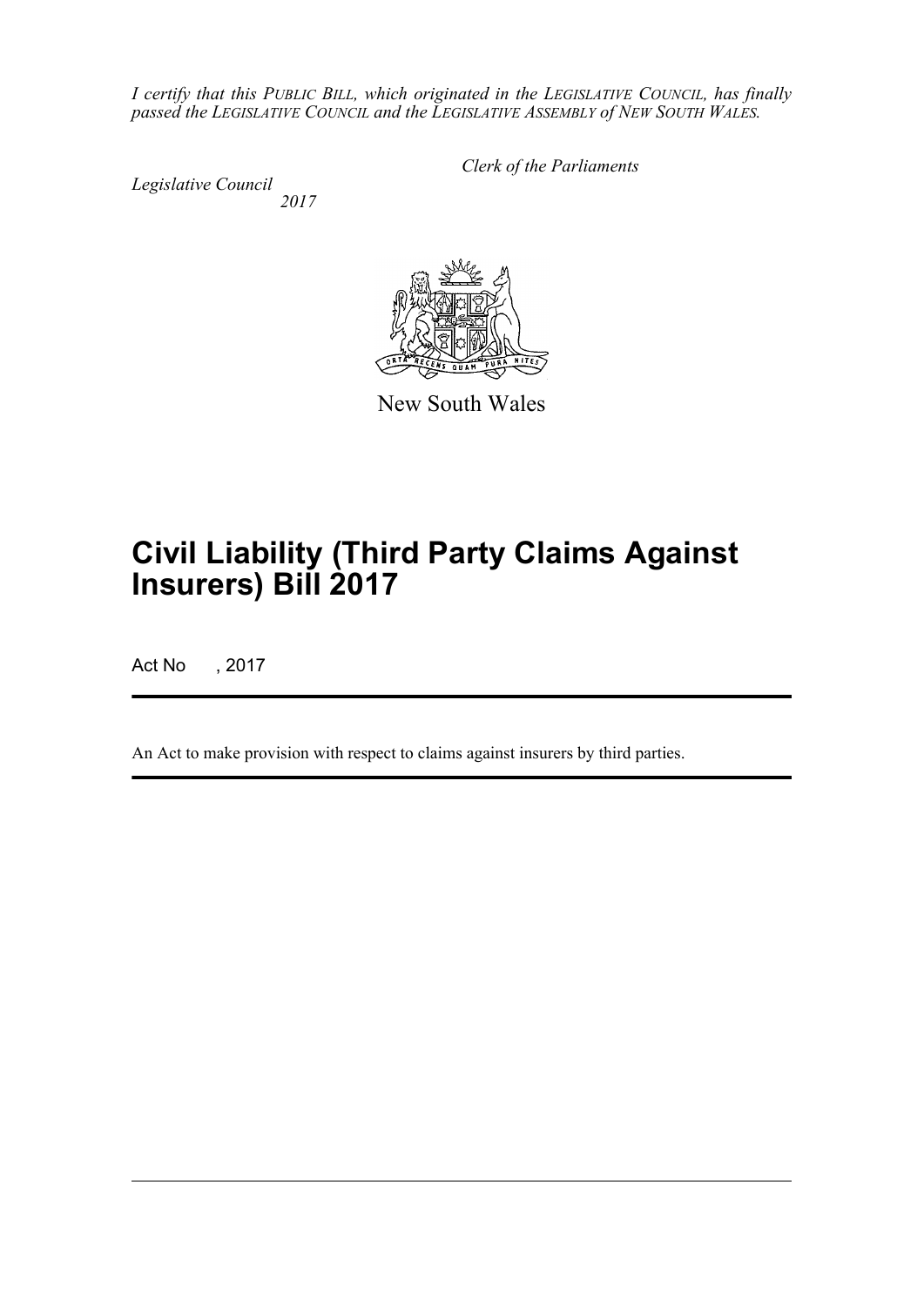*I certify that this PUBLIC BILL, which originated in the LEGISLATIVE COUNCIL, has finally passed the LEGISLATIVE COUNCIL and the LEGISLATIVE ASSEMBLY of NEW SOUTH WALES.*

*Legislative Council 2017* *Clerk of the Parliaments*



New South Wales

# **Civil Liability (Third Party Claims Against Insurers) Bill 2017**

Act No , 2017

An Act to make provision with respect to claims against insurers by third parties.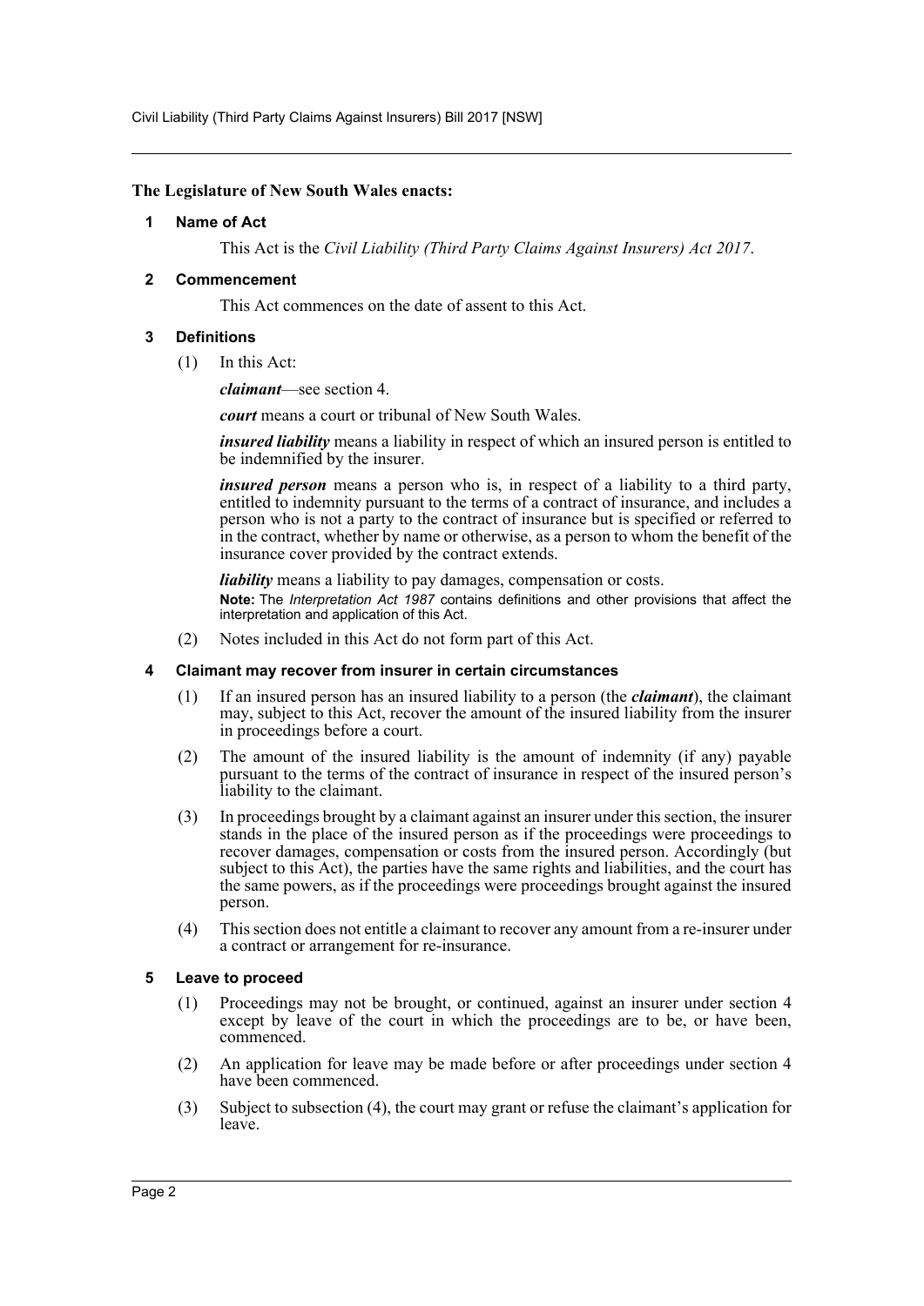Civil Liability (Third Party Claims Against Insurers) Bill 2017 [NSW]

## <span id="page-2-0"></span>**The Legislature of New South Wales enacts:**

# **1 Name of Act**

This Act is the *Civil Liability (Third Party Claims Against Insurers) Act 2017*.

# <span id="page-2-1"></span>**2 Commencement**

This Act commences on the date of assent to this Act.

# <span id="page-2-2"></span>**3 Definitions**

(1) In this Act:

*claimant*—see section 4.

*court* means a court or tribunal of New South Wales.

*insured liability* means a liability in respect of which an insured person is entitled to be indemnified by the insurer.

*insured person* means a person who is, in respect of a liability to a third party, entitled to indemnity pursuant to the terms of a contract of insurance, and includes a person who is not a party to the contract of insurance but is specified or referred to in the contract, whether by name or otherwise, as a person to whom the benefit of the insurance cover provided by the contract extends.

*liability* means a liability to pay damages, compensation or costs. **Note:** The *Interpretation Act 1987* contains definitions and other provisions that affect the interpretation and application of this Act.

(2) Notes included in this Act do not form part of this Act.

## <span id="page-2-3"></span>**4 Claimant may recover from insurer in certain circumstances**

- (1) If an insured person has an insured liability to a person (the *claimant*), the claimant may, subject to this Act, recover the amount of the insured liability from the insurer in proceedings before a court.
- (2) The amount of the insured liability is the amount of indemnity (if any) payable pursuant to the terms of the contract of insurance in respect of the insured person's liability to the claimant.
- (3) In proceedings brought by a claimant against an insurer under this section, the insurer stands in the place of the insured person as if the proceedings were proceedings to recover damages, compensation or costs from the insured person. Accordingly (but subject to this Act), the parties have the same rights and liabilities, and the court has the same powers, as if the proceedings were proceedings brought against the insured person.
- (4) This section does not entitle a claimant to recover any amount from a re-insurer under a contract or arrangement for re-insurance.

## <span id="page-2-4"></span>**5 Leave to proceed**

- (1) Proceedings may not be brought, or continued, against an insurer under section 4 except by leave of the court in which the proceedings are to be, or have been, commenced.
- (2) An application for leave may be made before or after proceedings under section 4 have been commenced.
- (3) Subject to subsection (4), the court may grant or refuse the claimant's application for leave.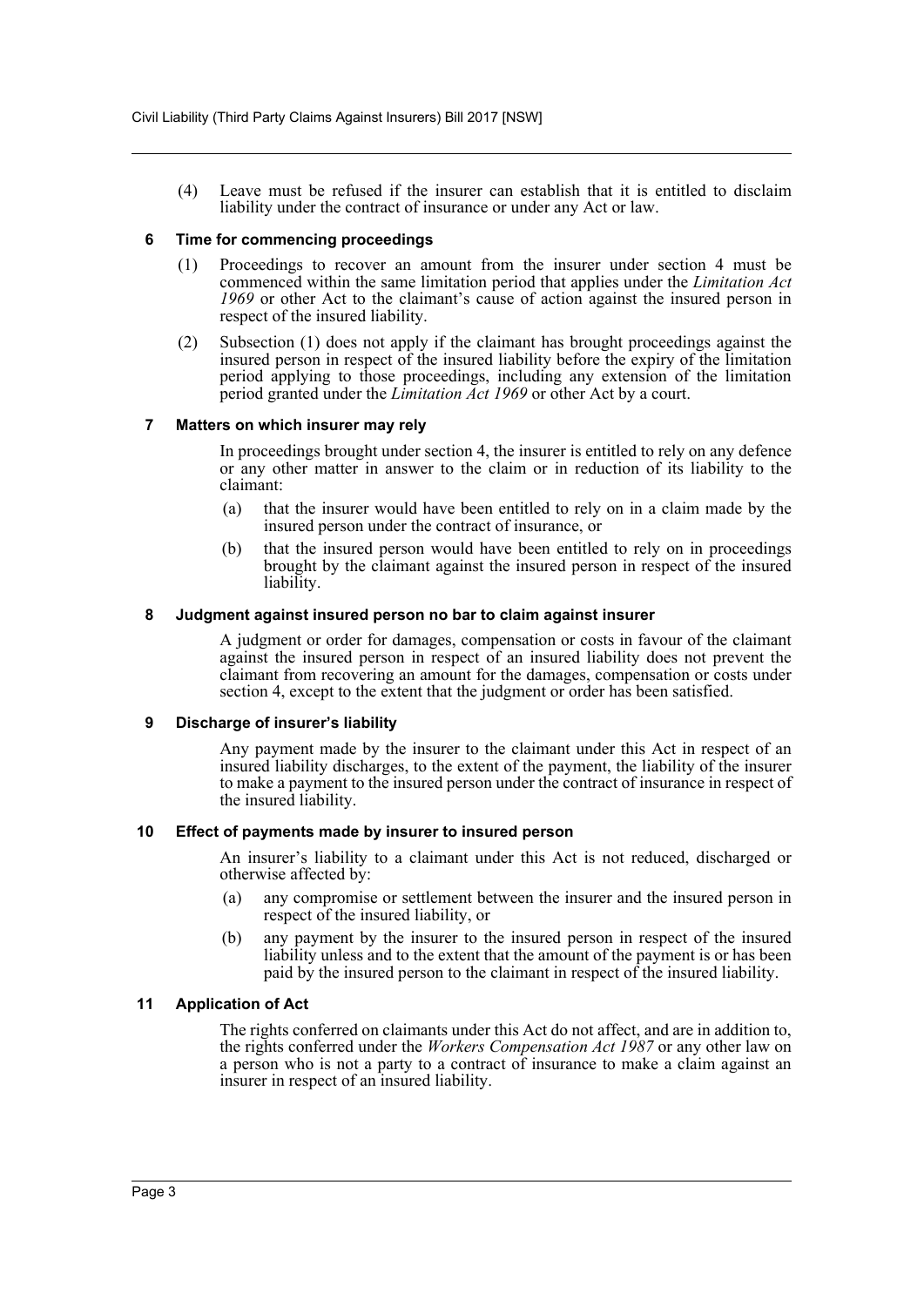(4) Leave must be refused if the insurer can establish that it is entitled to disclaim liability under the contract of insurance or under any Act or law.

#### <span id="page-3-0"></span>**6 Time for commencing proceedings**

- (1) Proceedings to recover an amount from the insurer under section 4 must be commenced within the same limitation period that applies under the *Limitation Act 1969* or other Act to the claimant's cause of action against the insured person in respect of the insured liability.
- (2) Subsection (1) does not apply if the claimant has brought proceedings against the insured person in respect of the insured liability before the expiry of the limitation period applying to those proceedings, including any extension of the limitation period granted under the *Limitation Act 1969* or other Act by a court.

#### <span id="page-3-1"></span>**7 Matters on which insurer may rely**

In proceedings brought under section 4, the insurer is entitled to rely on any defence or any other matter in answer to the claim or in reduction of its liability to the claimant:

- (a) that the insurer would have been entitled to rely on in a claim made by the insured person under the contract of insurance, or
- (b) that the insured person would have been entitled to rely on in proceedings brought by the claimant against the insured person in respect of the insured liability.

#### <span id="page-3-2"></span>**8 Judgment against insured person no bar to claim against insurer**

A judgment or order for damages, compensation or costs in favour of the claimant against the insured person in respect of an insured liability does not prevent the claimant from recovering an amount for the damages, compensation or costs under section 4, except to the extent that the judgment or order has been satisfied.

#### <span id="page-3-3"></span>**9 Discharge of insurer's liability**

Any payment made by the insurer to the claimant under this Act in respect of an insured liability discharges, to the extent of the payment, the liability of the insurer to make a payment to the insured person under the contract of insurance in respect of the insured liability.

#### <span id="page-3-4"></span>**10 Effect of payments made by insurer to insured person**

An insurer's liability to a claimant under this Act is not reduced, discharged or otherwise affected by:

- (a) any compromise or settlement between the insurer and the insured person in respect of the insured liability, or
- (b) any payment by the insurer to the insured person in respect of the insured liability unless and to the extent that the amount of the payment is or has been paid by the insured person to the claimant in respect of the insured liability.

## <span id="page-3-5"></span>**11 Application of Act**

The rights conferred on claimants under this Act do not affect, and are in addition to, the rights conferred under the *Workers Compensation Act 1987* or any other law on a person who is not a party to a contract of insurance to make a claim against an insurer in respect of an insured liability.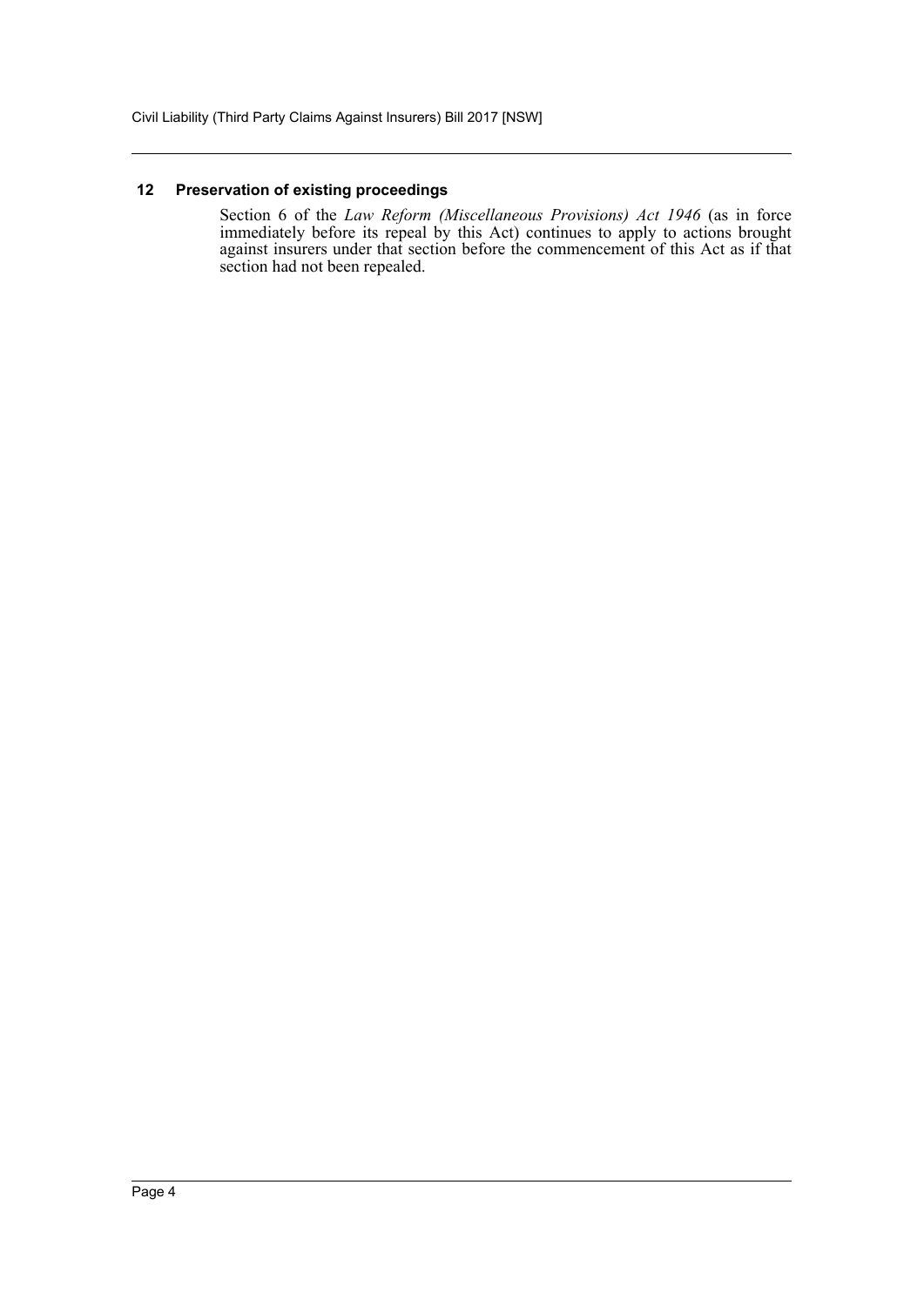# <span id="page-4-0"></span>**12 Preservation of existing proceedings**

Section 6 of the *Law Reform (Miscellaneous Provisions) Act 1946* (as in force immediately before its repeal by this Act) continues to apply to actions brought against insurers under that section before the commencement of this Act as if that section had not been repealed.